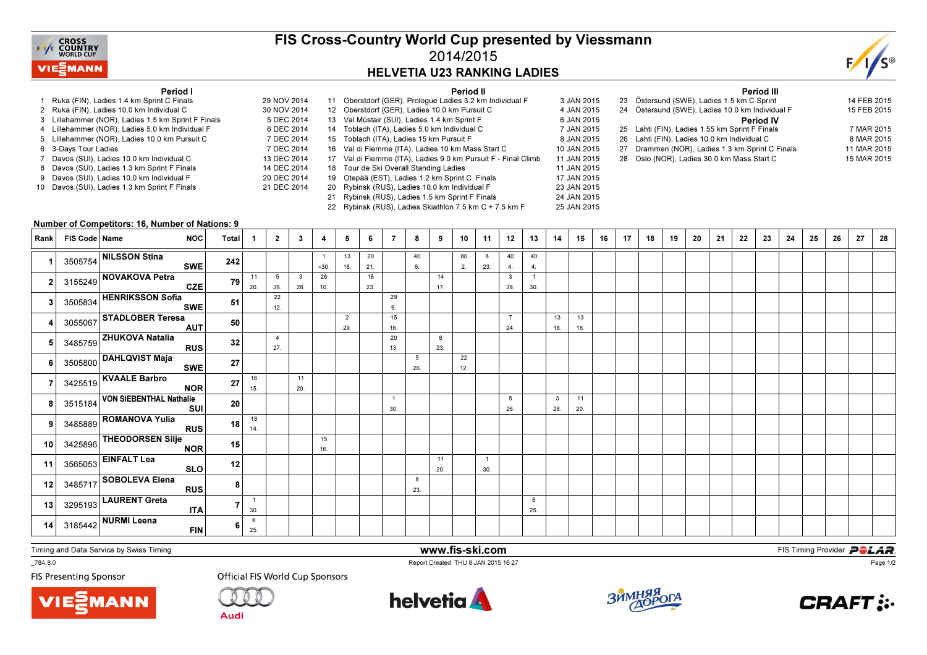

## FIS Cross-Country World Cup presented by Viessmann2014/2015HELVETIA U23 RANKING LADIES



## Period I

- 1 Ruka (FIN), Ladies 1.4 km Sprint C Finals 29 NOV 20142 Ruka (FIN), Ladies 10.0 km Individual C
- 3 Lillehammer (NOR), Ladies 1.5 km Sprint F Finals
- 4 Lillehammer (NOR), Ladies 5.0 km Individual F
- 5 Lillehammer (NOR), Ladies 10.0 km Pursuit C
- s 7 DEC 2014 6 3-Days Tour Ladies
- 7 Davos (SUI), Ladies 10.0 km Individual C
- 8 Davos (SUI), Ladies 1.3 km Sprint F Finals
- 9 Davos (SUI), Ladies 10.0 km Individual F
- 10 Davos (SUI), Ladies 1.3 km Sprint F Finals

|             |    | Period II                                                     |             |
|-------------|----|---------------------------------------------------------------|-------------|
| 29 NOV 2014 |    | 11 Oberstdorf (GER), Prologue Ladies 3.2 km Individual F      | 3 JAN 2015  |
| 30 NOV 2014 |    | 12 Oberstdorf (GER), Ladies 10.0 km Pursuit C                 | 4 JAN 2015  |
| 5 DEC 2014  |    | 13 Val Müstair (SUI), Ladies 1.4 km Sprint F                  | 6 JAN 2015  |
| 6 DEC 2014  |    | 14 Toblach (ITA), Ladies 5.0 km Individual C                  | 7 JAN 2015  |
| 7 DEC 2014  |    | 15 Toblach (ITA), Ladies 15 km Pursuit F                      | 8 JAN 2015  |
| 7 DEC 2014  |    | 16 Val di Fiemme (ITA), Ladies 10 km Mass Start C             | 10 JAN 2015 |
| 13 DEC 2014 |    | 17 Val di Fiemme (ITA), Ladies 9.0 km Pursuit F - Final Climb | 11 JAN 2015 |
| 14 DEC 2014 |    | 18 Tour de Ski Overall Standing Ladies                        | 11 JAN 2015 |
| 20 DEC 2014 | 19 | Otepää (EST), Ladies 1.2 km Sprint C Finals                   | 17 JAN 2015 |
| 21 DEC 2014 | 20 | Rybinsk (RUS), Ladies 10.0 km Individual F                    | 23 JAN 2015 |
|             | 21 | Rybinsk (RUS), Ladies 1.5 km Sprint F Finals                  | 24 JAN 2015 |
|             |    |                                                               |             |

22 Rybinsk (RUS), Ladies Skiathlon 7.5 km C + 7.5 km F

|             | Period III                                      |             |
|-------------|-------------------------------------------------|-------------|
| 3 JAN 2015  | 23 Östersund (SWE), Ladies 1.5 km C Sprint      | 14 FEB 2015 |
| 4 JAN 2015  | 24 Östersund (SWE), Ladies 10.0 km Individual F | 15 FEB 2015 |
| 6 JAN 2015  | <b>Period IV</b>                                |             |
| 7 JAN 2015  | 25 Lahti (FIN), Ladies 1.55 km Sprint F Finals  | 7 MAR 2015  |
| 8 JAN 2015  | 26 Lahti (FIN), Ladies 10.0 km Individual C     | 8 MAR 2015  |
| 10 JAN 2015 | 27 Drammen (NOR), Ladies 1.3 km Sprint C Finals | 11 MAR 2015 |
| 11 JAN 2015 | 28 Oslo (NOR). Ladies 30.0 km Mass Start C      | 15 MAR 2015 |
| 11 JAN 2015 |                                                 |             |

## Number of Competitors: 16, Number of Nations: 9

| Rank            | FIS Code   Name | NOC                                                                           | Total          | -1                  | $\overline{2}$        | $\mathbf{3}$ | 4         | 5                     | 6         | -7                    | 8        | 9         | 10        | 11                    | 12                    | 13                    | 14                  | 15        | 16 | 17 | 18 | 19 | 20 | 21 | 22 | 23 | 24 | 25 | 26 | 27 | 28 |
|-----------------|-----------------|-------------------------------------------------------------------------------|----------------|---------------------|-----------------------|--------------|-----------|-----------------------|-----------|-----------------------|----------|-----------|-----------|-----------------------|-----------------------|-----------------------|---------------------|-----------|----|----|----|----|----|----|----|----|----|----|----|----|----|
|                 |                 | 3505754 NILSSON Stina<br><b>SWE</b>                                           | 242            |                     |                       |              | $=30.$    | 13<br>18.             | 20<br>21. |                       | 40<br>6. |           | 80<br>2.  | 8<br>23.              | 40<br>4.              | 40<br>4.              |                     |           |    |    |    |    |    |    |    |    |    |    |    |    |    |
|                 |                 | 3155249 NOVAKOVA Petra<br>CZE                                                 | 79             | 11<br>20.           | 5<br>26.              | 3<br>28.     | 26<br>10. |                       | 16<br>23. |                       |          | 14<br>17. |           |                       | $\mathbf{3}$<br>28.   | $\overline{1}$<br>30. |                     |           |    |    |    |    |    |    |    |    |    |    |    |    |    |
|                 |                 | 3505834 HENRIKSSON Sofia<br>SWE                                               | 51             |                     | 22<br>12.             |              |           |                       |           | 29<br>9.              |          |           |           |                       |                       |                       |                     |           |    |    |    |    |    |    |    |    |    |    |    |    |    |
|                 |                 | 3055067 STADLOBER Teresa<br><b>AUT</b>                                        | 50             |                     |                       |              |           | $\overline{2}$<br>29. |           | 15<br>16.             |          |           |           |                       | $\overline{7}$<br>24. |                       | 13<br>18.           | 13<br>18. |    |    |    |    |    |    |    |    |    |    |    |    |    |
|                 |                 | $3485759$ ZHUKOVA Natalia<br><b>RUS</b>                                       | 32             |                     | $\overline{4}$<br>27. |              |           |                       |           | 20<br>13.             |          | 8<br>23.  |           |                       |                       |                       |                     |           |    |    |    |    |    |    |    |    |    |    |    |    |    |
|                 |                 | 3505800 DAHLQVIST Maja<br>SWE                                                 | 27             |                     |                       |              |           |                       |           |                       | 5<br>26. |           | 22<br>12. |                       |                       |                       |                     |           |    |    |    |    |    |    |    |    |    |    |    |    |    |
|                 |                 | 3425519 KVAALE Barbro<br><b>NOR</b>                                           | 27             | 16<br>15.           |                       | 11<br>20.    |           |                       |           |                       |          |           |           |                       |                       |                       |                     |           |    |    |    |    |    |    |    |    |    |    |    |    |    |
|                 |                 | 3515184 VON SIEBENTHAL Nathalie<br>SUI                                        | 20             |                     |                       |              |           |                       |           | $\overline{1}$<br>30. |          |           |           |                       | 5<br>26.              |                       | $\mathbf{3}$<br>28. | 11<br>20. |    |    |    |    |    |    |    |    |    |    |    |    |    |
|                 |                 | 3485889 ROMANOVA Yulia<br>RUS                                                 | 18             | 18<br>14.           |                       |              |           |                       |           |                       |          |           |           |                       |                       |                       |                     |           |    |    |    |    |    |    |    |    |    |    |    |    |    |
| 10 <sup>1</sup> |                 | 3425896 THEODORSEN Silje<br>NOR                                               | 15             |                     |                       |              | 15<br>16. |                       |           |                       |          |           |           |                       |                       |                       |                     |           |    |    |    |    |    |    |    |    |    |    |    |    |    |
| 11              |                 | $3565053$ $\overline{\overline{\textsf{EINFALT}\textsf{Leaf}}}$<br><b>SLO</b> | 12             |                     |                       |              |           |                       |           |                       |          | 11<br>20. |           | $\overline{1}$<br>30. |                       |                       |                     |           |    |    |    |    |    |    |    |    |    |    |    |    |    |
| 12              |                 | $3485717$ SOBOLEVA Elena<br><b>RUS</b>                                        | 8 <sub>1</sub> |                     |                       |              |           |                       |           |                       | 8<br>23. |           |           |                       |                       |                       |                     |           |    |    |    |    |    |    |    |    |    |    |    |    |    |
| 13 <sup>1</sup> |                 | 3295193 LAURENT Greta<br><b>ITA</b>                                           |                | $\mathbf{1}$<br>30. |                       |              |           |                       |           |                       |          |           |           |                       |                       | 6<br>25.              |                     |           |    |    |    |    |    |    |    |    |    |    |    |    |    |
| 14              |                 | $3185442$ NURMI Leena<br><b>FIN</b>                                           | 6              | 6<br>25.            |                       |              |           |                       |           |                       |          |           |           |                       |                       |                       |                     |           |    |    |    |    |    |    |    |    |    |    |    |    |    |

Timing and Data Service by Swiss Timing

 www.fis-ski.comReport Created THU 8 JAN 2015 16:27

**m**<br>FIS Timing Provider<br>F<sup>16.27</sup>

\_78A 8.0

**FIS Presenting Sponsor** 





**Audi** 





25 JAN 2015



Page 1/2